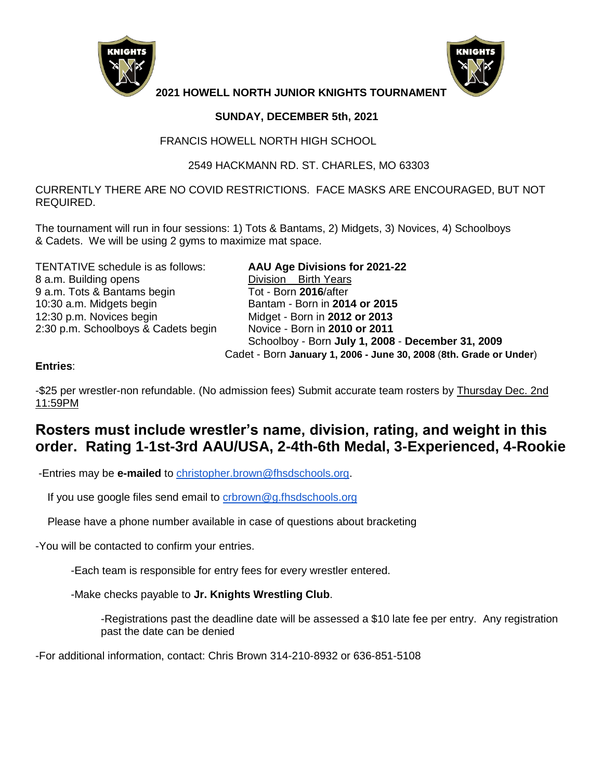



**2021 HOWELL NORTH JUNIOR KNIGHTS TOURNAMENT**

## **SUNDAY, DECEMBER 5th, 2021**

### FRANCIS HOWELL NORTH HIGH SCHOOL

## 2549 HACKMANN RD. ST. CHARLES, MO 63303

CURRENTLY THERE ARE NO COVID RESTRICTIONS. FACE MASKS ARE ENCOURAGED, BUT NOT REQUIRED.

The tournament will run in four sessions: 1) Tots & Bantams, 2) Midgets, 3) Novices, 4) Schoolboys & Cadets. We will be using 2 gyms to maximize mat space.

TENTATIVE schedule is as follows: **AAU Age Divisions for 2021-22** 8 a.m. Building opens **Division** Birth Years 9 a.m. Tots & Bantams begin Tot - Born **2016**/after 10:30 a.m. Midgets begin Bantam - Born in **2014 or 2015** 12:30 p.m. Novices begin Midget - Born in **2012 or 2013** 2:30 p.m. Schoolboys & Cadets begin Novice - Born in **2010 or 2011**

 Schoolboy - Born **July 1, 2008** - **December 31, 2009** Cadet - Born **January 1, 2006 - June 30, 2008** (**8th. Grade or Under**)

## **Entries**:

-\$25 per wrestler-non refundable. (No admission fees) Submit accurate team rosters by Thursday Dec. 2nd 11:59PM

# **Rosters must include wrestler's name, division, rating, and weight in this order. Rating 1-1st-3rd AAU/USA, 2-4th-6th Medal, 3-Experienced, 4-Rookie**

-Entries may be **e-mailed** to [christopher.brown@fhsdschools.org.](mailto:christopher.brown@fhsdschools.org)

If you use google files send email to [crbrown@g.fhsdschools.org](mailto:crbrown@g.fhsdschools.org)

Please have a phone number available in case of questions about bracketing

-You will be contacted to confirm your entries.

-Each team is responsible for entry fees for every wrestler entered.

-Make checks payable to **Jr. Knights Wrestling Club**.

-Registrations past the deadline date will be assessed a \$10 late fee per entry. Any registration past the date can be denied

-For additional information, contact: Chris Brown 314-210-8932 or 636-851-5108